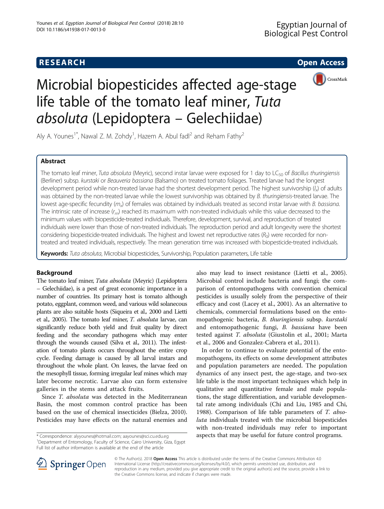# **RESEARCH CHE Open Access**



# Microbial biopesticides affected age-stage life table of the tomato leaf miner, Tuta absoluta (Lepidoptera – Gelechiidae)

Aly A. Younes<sup>1\*</sup>, Nawal Z. M. Zohdy<sup>1</sup>, Hazem A. Abul fadl<sup>2</sup> and Reham Fathy<sup>2</sup>

# Abstract

The tomato leaf miner, Tuta absoluta (Meyric), second instar larvae were exposed for 1 day to LC<sub>50</sub> of Bacillus thuringiensis (Berliner) subsp. kurstaki or Beauveria bassiana (Balsamo) on treated tomato foliages. Treated larvae had the longest development period while non-treated larvae had the shortest development period. The highest survivorship (/x) of adults was obtained by the non-treated larvae while the lowest survivorship was obtained by B. thuringiensis-treated larvae. The lowest age-specific fecundity  $(m_x)$  of females was obtained by individuals treated as second instar larvae with B. bassiana. The intrinsic rate of increase  $(r_m)$  reached its maximum with non-treated individuals while this value decreased to the minimum values with biopesticide-treated individuals. Therefore, development, survival, and reproduction of treated individuals were lower than those of non-treated individuals. The reproduction period and adult longevity were the shortest considering biopesticide-treated individuals. The highest and lowest net reproductive rates  $(R_0)$  were recorded for nontreated and treated individuals, respectively. The mean generation time was increased with biopesticide-treated individuals.

Keywords: Tuta absoluta, Microbial biopesticides, Survivorship, Population parameters, Life table

## Background

The tomato leaf miner, Tuta absoluta (Meyric) (Lepidoptera – Gelechiidae), is a pest of great economic importance in a number of countries. Its primary host is tomato although potato, eggplant, common weed, and various wild solanecous plants are also suitable hosts (Siqueira et al., [2000](#page-7-0) and Lietti et al., [2005](#page-7-0)). The tomato leaf miner, T. absoluta larvae, can significantly reduce both yield and fruit quality by direct feeding and the secondary pathogens which may enter through the wounds caused (Silva et al., [2011\)](#page-7-0). The infestation of tomato plants occurs throughout the entire crop cycle. Feeding damage is caused by all larval instars and throughout the whole plant. On leaves, the larvae feed on the mesophyll tissue, forming irregular leaf mines which may later become necrotic. Larvae also can form extensive galleries in the stems and attack fruits.

Since T. absoluta was detected in the Mediterranean Basin, the most common control practice has been based on the use of chemical insecticides (Bielza, [2010](#page-6-0)). Pesticides may have effects on the natural enemies and

<sup>1</sup>Department of Entomology, Faculty of Science, Cairo University, Giza, Egypt Full list of author information is available at the end of the article

also may lead to insect resistance (Lietti et al., [2005](#page-7-0)). Microbial control include bacteria and fungi; the comparison of entomopathogens with convention chemical pesticides is usually solely from the perspective of their efficacy and cost (Lacey et al., [2001\)](#page-7-0). As an alternative to chemicals, commercial formulations based on the entomopathogenic bacteria, B. thuringiensis subsp. kurstaki and entomopathogenic fungi, B. bassiana have been tested against T. absoluta (Giustolin et al., [2001;](#page-6-0) Marta et al., [2006](#page-7-0) and Gonzalez-Cabrera et al., [2011\)](#page-7-0).

In order to continue to evaluate potential of the entomopathogens, its effects on some development attributes and population parameters are needed. The population dynamics of any insect pest, the age-stage, and two-sex life table is the most important techniques which help in qualitative and quantitative female and male populations, the stage differentiation, and variable developmental rate among individuals (Chi and Liu, [1985](#page-6-0) and Chi, [1988](#page-6-0)). Comparison of life table parameters of T. absoluta individuals treated with the microbial biopesticides with non-treated individuals may refer to important \* Correspondence: [alyyounes@hotmail.com](mailto:alyyounes@hotmail.com); [aayounes@sci.cu.edu.eg](mailto:aayounes@sci.cu.edu.eg) aspects that may be useful for future control programs.



© The Author(s). 2018 Open Access This article is distributed under the terms of the Creative Commons Attribution 4.0 International License ([http://creativecommons.org/licenses/by/4.0/\)](http://creativecommons.org/licenses/by/4.0/), which permits unrestricted use, distribution, and reproduction in any medium, provided you give appropriate credit to the original author(s) and the source, provide a link to the Creative Commons license, and indicate if changes were made.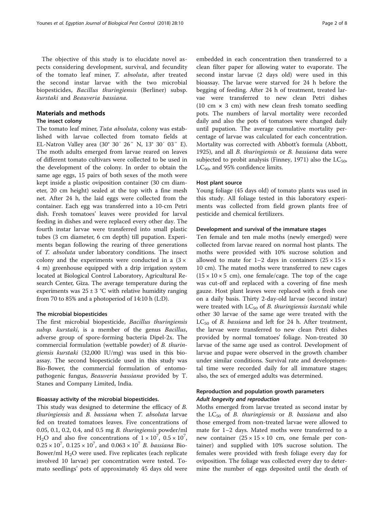The objective of this study is to elucidate novel aspects considering development, survival, and fecundity of the tomato leaf miner, T. absoluta, after treated the second instar larvae with the two microbial biopesticides, Bacillus thuringiensis (Berliner) subsp. kurstaki and Beauveria bassiana.

# Materials and methods

#### The insect colony

The tomato leaf miner, Tuta absoluta, colony was established with larvae collected from tomato fields at EL-Natron Valley area (30° 30′ 26″ N, 13° 30′ 03″ E). The moth adults emerged from larvae reared on leaves of different tomato cultivars were collected to be used in the development of the colony. In order to obtain the same age eggs, 15 pairs of both sexes of the moth were kept inside a plastic oviposition container (30 cm diameter, 20 cm height) sealed at the top with a fine mesh net. After 24 h, the laid eggs were collected from the container. Each egg was transferred into a 10-cm Petri dish. Fresh tomatoes' leaves were provided for larval feeding in dishes and were replaced every other day. The fourth instar larvae were transferred into small plastic tubes (3 cm diameter, 6 cm depth) till pupation. Experiments began following the rearing of three generations of T. absoluta under laboratory conditions. The insect colony and the experiments were conducted in a  $(3 \times$ 4 m) greenhouse equipped with a drip irrigation system located at Biological Control Laboratory, Agricultural Research Center, Giza. The average temperature during the experiments was  $25 \pm 3$  °C with relative humidity ranging from 70 to 85% and a photoperiod of 14:10 h (L:D).

#### The microbial biopesticides

The first microbial biopesticide, Bacillus thuringiensis subsp. kurstaki, is a member of the genus Bacillus, adverse group of spore-forming bacteria Dipel-2x. The commercial formulation (wettable powder) of B. thuringiensis kurstaki (32,000 IU/mg) was used in this bioassay. The second biopesticide used in this study was Bio-Bower, the commercial formulation of entomopathogenic fungus, Beauveria bassiana provided by T. Stanes and Company Limited, India.

#### Bioassay activity of the microbial biopesticides.

This study was designed to determine the efficacy of B. thuringiensis and B. bassiana when T. absoluta larvae fed on treated tomatoes leaves. Five concentrations of 0.05, 0.1, 0.2, 0.4, and 0.5 mg B. thuringiensis powder/ml H<sub>2</sub>O and also five concentrations of  $1 \times 10^7$ ,  $0.5 \times 10^7$ ,  $0.25 \times 10^7$ ,  $0.125 \times 10^7$ , and  $0.063 \times 10^7$  *B. bassiana* Bio-Bower/ml  $H_2O$  were used. Five replicates (each replicate involved 10 larvae) per concentration were tested. Tomato seedlings' pots of approximately 45 days old were

embedded in each concentration then transferred to a clean filter paper for allowing water to evaporate. The second instar larvae (2 days old) were used in this bioassay. The larvae were starved for 24 h before the begging of feeding. After 24 h of treatment, treated larvae were transferred to new clean Petri dishes (10 cm × 3 cm) with new clean fresh tomato seedling pots. The numbers of larval mortality were recorded daily and also the pots of tomatoes were changed daily until pupation. The average cumulative mortality percentage of larvae was calculated for each concentration. Mortality was corrected with Abbott's formula (Abbott, [1925](#page-6-0)), and all *B. thuringiensis* or *B. bassiana* data were subjected to probit analysis (Finney, [1971\)](#page-6-0) also the  $LC_{50}$ ,  $LC_{90}$ , and 95% confidence limits.

#### Host plant source

Young foliage (45 days old) of tomato plants was used in this study. All foliage tested in this laboratory experiments was collected from field grown plants free of pesticide and chemical fertilizers.

#### Development and survival of the immature stages

Ten female and ten male moths (newly emerged) were collected from larvae reared on normal host plants. The moths were provided with 10% sucrose solution and allowed to mate for 1–2 days in containers  $(25 \times 15 \times$ 10 cm). The mated moths were transferred to new cages  $(15 \times 10 \times 5$  cm), one female/cage. The top of the cage was cut-off and replaced with a covering of fine mesh gauze. Host plant leaves were replaced with a fresh one on a daily basis. Thirty 2-day-old larvae (second instar) were treated with  $LC_{50}$  of B. thuringiensis kurstaki while other 30 larvae of the same age were treated with the  $LC_{50}$  of *B. bassiana* and left for 24 h. After treatment, the larvae were transferred to new clean Petri dishes provided by normal tomatoes' foliage. Non-treated 30 larvae of the same age used as control. Development of larvae and pupae were observed in the growth chamber under similar conditions. Survival rate and developmental time were recorded daily for all immature stages; also, the sex of emerged adults was determined.

# Reproduction and population growth parameters Adult longevity and reproduction

Moths emerged from larvae treated as second instar by the  $LC_{50}$  of *B. thuringiensis* or *B. bassiana* and also those emerged from non-treated larvae were allowed to mate for 1–2 days. Mated moths were transferred to a new container  $(25 \times 15 \times 10)$  cm, one female per container) and supplied with 10% sucrose solution. The females were provided with fresh foliage every day for oviposition. The foliage was collected every day to determine the number of eggs deposited until the death of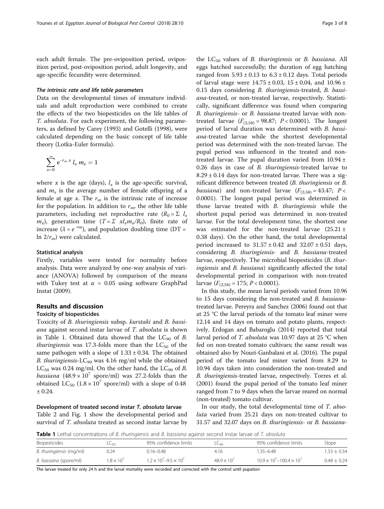each adult female. The pre-oviposition period, oviposition period, post-oviposition period, adult longevity, and age-specific fecundity were determined.

#### The intrinsic rate and life table parameters

Data on the developmental times of immature individuals and adult reproduction were combined to create the effects of the two biopesticides on the life tables of T. absoluta. For each experiment, the following parameters, as defined by Carey ([1993](#page-6-0)) and Gotelli [\(1998\)](#page-7-0), were calculated depending on the basic concept of life table theory (Lotka-Euler formula).

$$
\sum_{x=0}^{\infty} e^{-r_m x} l_x m_x = 1
$$

where x is the age (days),  $l<sub>x</sub>$  is the age-specific survival, and  $m<sub>x</sub>$  is the average number of female offspring of a female at age x. The  $r_m$  is the intrinsic rate of increase for the population. In addition to  $r_m$ , the other life table parameters, including net reproductive rate ( $R_0 = \sum l_x$  $m_x$ ), generation time  $(T = \Sigma x l_x m_x / R_0)$ , finite rate of increase ( $\lambda = e^{rm}$ ), and population doubling time (DT = ln  $2/r_m$ ) were calculated.

#### Statistical analysis

Firstly, variables were tested for normality before analysis. Data were analyzed by one-way analysis of variance (ANOVA) followed by comparison of the means with Tukey test at  $\alpha = 0.05$  using software GraphPad Instat ([2009\)](#page-7-0).

## Results and discussion

#### Toxicity of biopesticides

Toxicity of B. thuringiensis subsp. kurstaki and B. bassiana against second instar larvae of T. absoluta is shown in Table 1. Obtained data showed that the  $LC_{90}$  of B. *thuringiensis* was 17.3-folds more than the  $LC_{50}$  of the same pathogen with a slope of  $1.33 \pm 0.34$ . The obtained B. thuringiensis-LC<sub>90</sub> was 4.16 mg/ml while the obtained  $LC_{50}$  was 0.24 mg/ml. On the other hand, the  $LC_{90}$  of B. *bassiana* (48.9 × 10<sup>7</sup> spore/ml) was 27.2-folds than the obtained  $LC_{50}$   $(1.8 \times 10^{7} \text{ spore/ml})$  with a slope of 0.48 ± 0.24.

#### Development of treated second instar T. absoluta larvae

Table [2](#page-3-0) and Fig. [1](#page-3-0) show the developmental period and survival of T. *absoluta* treated as second instar larvae by

the  $LC_{50}$  values of *B. thuringiensis* or *B. bassiana*. All eggs hatched successfully; the duration of egg hatching ranged from  $5.93 \pm 0.13$  to  $6.3 \pm 0.12$  days. Total periods of larval stage were  $14.75 \pm 0.03$ ,  $15 \pm 0.04$ , and  $10.96 \pm 0.04$ 0.15 days considering B. thuringiensis-treated, B. bassiana-treated, or non-treated larvae, respectively. Statistically, significant difference was found when comparing B. thuringiensis- or B. bassiana-treated larvae with nontreated larvae  $(F_{(2,58)} = 98.87; P < 0.0001)$ . The longest period of larval duration was determined with B. bassiana-treated larvae while the shortest developmental period was determined with the non-treated larvae. The pupal period was influenced in the treated and nontreated larvae. The pupal duration varied from  $10.94 \pm$ 0.26 days in case of B. thuringiensis-treated larvae to  $8.29 \pm 0.14$  days for non-treated larvae. There was a significant difference between treated (B. thuringiensis or B. *bassiana*) and non-treated larvae  $(F_{(2,58)} = 43.47; P <$ 0.0001). The longest pupal period was determined in those larvae treated with B. thuringiensis while the shortest pupal period was determined in non-treated larvae. For the total development time, the shortest one was estimated for the non-treated larvae  $(25.21 \pm$ 0.38 days). On the other hand, the total developmental period increased to  $31.57 \pm 0.42$  and  $32.07 \pm 0.51$  days, considering B. thuringiensis- and B. bassiana-treated larvae, respectively. The microbial biopesticides (B. thuringiensis and B. bassiana) significantly affected the total developmental period in comparison with non-treated larvae  $(F_{(2,58)} = 175; P < 0.0001)$ .

In this study, the mean larval periods varied from 10.96 to 15 days considering the non-treated and B. bassianatreated larvae. Pereyra and Sanchez [\(2006](#page-7-0)) found out that at 25 °C the larval periods of the tomato leaf miner were 12.14 and 14 days on tomato and potato plants, respectively. Erdogan and Babaroglu ([2014\)](#page-6-0) reported that total larval period of T. absoluta was 10.97 days at 25 °C when fed on non-treated tomato cultivars; the same result was obtained also by Nouri-Ganbalani et al. ([2016](#page-7-0)). The pupal period of the tomato leaf miner varied from 8.29 to 10.94 days taken into consideration the non-treated and B. thuringiensis-treated larvae, respectively. Torres et al. ([2001](#page-7-0)) found the pupal period of the tomato leaf miner ranged from 7 to 9 days when the larvae reared on normal (non-treated) tomato cultivar.

In our study, the total developmental time of T. absoluta varied from 25.21 days on non-treated cultivar to 31.57 and 32.07 days on B. thuringiensis- or B. bassiana-

Table 1 Lethal concentrations of B. thuringiensis and B. bassiana against second instar larvae of T. absoluta

| Biopesticides            | LL50.            | 95% confidence limits                   | LLgn             | 95% confidence limits                      | Slope         |
|--------------------------|------------------|-----------------------------------------|------------------|--------------------------------------------|---------------|
| B. thuringiensis (mg/ml) | 0.24             | $0.16 - 0.48$                           | 4.16             | 1.35–6.48                                  | $1.33 + 0.34$ |
| B. bassiana (spore/ml)   | $1.8 \times 10'$ | $1.2 \times 10^{7} - 9.5 \times 10^{7}$ | $489 \times 10'$ | $10.9 \times 10^{7} - 100.4 \times 10^{7}$ | $0.48 + 0.24$ |

The larvae treated for only 24 h and the larval mortality were recorded and corrected with the control until pupation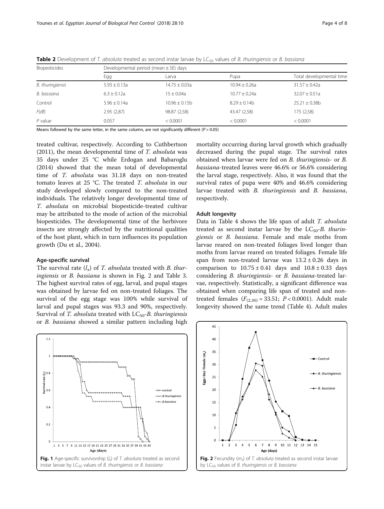|                  | Developmental period (mean $\pm$ SE) days |                   |                          |  |  |  |
|------------------|-------------------------------------------|-------------------|--------------------------|--|--|--|
| Egg              | Larva                                     | Pupa              | Total developmental time |  |  |  |
| $5.93 \pm 0.13a$ | $14.75 \pm 0.03a$                         | $10.94 \pm 0.26a$ | $31.57 \pm 0.42a$        |  |  |  |
| $6.3 + 0.12a$    | $15 \pm 0.04a$                            | $10.77 + 0.24a$   | $32.07 \pm 0.51a$        |  |  |  |
| $5.96 + 0.14a$   | $10.96 + 0.15b$                           | $8.29 + 0.14$     | $25.21 + 0.38b$          |  |  |  |
| 2.95(2.87)       | 98.87 (2,58)                              | 43.47 (2,58)      | 175 (2,58)               |  |  |  |
| 0.057            | < 0.0001                                  | < 0.0001          | < 0.0001                 |  |  |  |
|                  |                                           |                   |                          |  |  |  |

<span id="page-3-0"></span>**Table 2** Development of T. absoluta treated as second instar larvae by  $LC_{50}$  values of B. thuringiensis or B. bassiana

Means followed by the same letter, in the same column, are not significantly different ( $P > 0.05$ )

treated cultivar, respectively. According to Cuthbertson ([2011](#page-6-0)), the mean developmental time of  $T$ . absoluta was 35 days under 25 °C while Erdogan and Babaroglu ([2014](#page-6-0)) showed that the mean total of developmental time of T. absoluta was 31.18 days on non-treated tomato leaves at 25 °C. The treated T. absoluta in our study developed slowly compared to the non-treated individuals. The relatively longer developmental time of T. absoluta on microbial biopesticide-treated cultivar may be attributed to the mode of action of the microbial biopesticides. The developmental time of the herbivore insects are strongly affected by the nutritional qualities of the host plant, which in turn influences its population growth (Du et al., [2004](#page-6-0)).

#### Age-specific survival

The survival rate  $(l_r)$  of T. absoluta treated with B. thuringiensis or *B. bassiana* is shown in Fig. 2 and Table [3](#page-4-0). The highest survival rates of egg, larval, and pupal stages was obtained by larvae fed on non-treated foliages. The survival of the egg stage was 100% while survival of larval and pupal stages was 93.3 and 90%, respectively. Survival of T. absoluta treated with  $LC_{50}$ -B. thuringiensis or B. bassiana showed a similar pattern including high mortality occurring during larval growth which gradually decreased during the pupal stage. The survival rates obtained when larvae were fed on B. thuringiensis- or B. bassiana-treated leaves were 46.6% or 56.6% considering the larval stage, respectively. Also, it was found that the survival rates of pupa were 40% and 46.6% considering larvae treated with B. thuringiensis and B. bassiana, respectively.

## Adult longevity

Data in Table [4](#page-4-0) shows the life span of adult T. absoluta treated as second instar larvae by the  $LC_{50}$ -B. thuringiensis or B. bassiana. Female and male moths from larvae reared on non-treated foliages lived longer than moths from larvae reared on treated foliages. Female life span from non-treated larvae was  $13.2 \pm 0.26$  days in comparison to  $10.75 \pm 0.41$  days and  $10.8 \pm 0.33$  days considering B. thuringiensis- or B. bassiana-treated larvae, respectively. Statistically, a significant difference was obtained when comparing life span of treated and nontreated females  $(F_{(2,30)} = 33.51; P < 0.0001)$ . Adult male longevity showed the same trend (Table [4\)](#page-4-0). Adult males



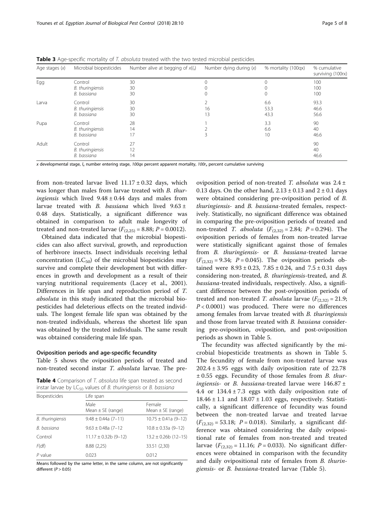| Age stages $(x)$ | Microbial biopesticides | Number alive at begging of $x(l_x)$ | Number dying during $(x)$ | % mortality (100qx) | % cumulative<br>surviving (100rx) |
|------------------|-------------------------|-------------------------------------|---------------------------|---------------------|-----------------------------------|
| Egg              | Control                 | 30                                  |                           | $\Omega$            | 100                               |
|                  | B. thuringiensis        | 30                                  |                           |                     | 100                               |
|                  | B. bassiana             | 30                                  |                           |                     | 100                               |
| Larva            | Control                 | 30                                  |                           | 6.6                 | 93.3                              |
|                  | B. thuringiensis        | 30                                  | 16                        | 53.3                | 46.6                              |
|                  | B. bassiana             | 30                                  | 13                        | 43.3                | 56.6                              |
| Pupa             | Control                 | 28                                  |                           | 3.3                 | 90                                |
|                  | B. thuringiensis        | 14                                  |                           | 6.6                 | 40                                |
|                  | B. bassiana             | 17                                  |                           | 10                  | 46.6                              |
| Adult            | Control                 | 27                                  |                           |                     | 90                                |
|                  | B. thuringiensis        | 12                                  |                           |                     | 40                                |
|                  | B. bassiana             | 14                                  |                           |                     | 46.6                              |

<span id="page-4-0"></span>Table 3 Age-specific mortality of T. absoluta treated with the two tested microbial pesticides

x developmental stage,  $l_x$  number entering stage, 100qx percent apparent mortality, 100 $r_x$  percent cumulative surviving

from non-treated larvae lived  $11.17 \pm 0.32$  days, which was longer than males from larvae treated with B. thur*ingiensis* which lived  $9.48 \pm 0.44$  days and males from larvae treated with *B. bassiana* which lived  $9.63 \pm$ 0.48 days. Statistically, a significant difference was obtained in comparison to adult male longevity of treated and non-treated larvae  $(F_{(2,25)} = 8.88; P = 0.0012)$ .

Obtained data indicated that the microbial biopesticides can also affect survival, growth, and reproduction of herbivore insects. Insect individuals receiving lethal concentration  $(LC_{50})$  of the microbial biopesticides may survive and complete their development but with differences in growth and development as a result of their varying nutritional requirements (Lacey et al., [2001](#page-7-0)). Differences in life span and reproduction period of T. absoluta in this study indicated that the microbial biopesticides had deleterious effects on the treated individuals. The longest female life span was obtained by the non-treated individuals, whereas the shortest life span was obtained by the treated individuals. The same result was obtained considering male life span.

#### Oviposition periods and age-specific fecundity

Table [5](#page-5-0) shows the oviposition periods of treated and non-treated second instar T. absoluta larvae. The pre-

Table 4 Comparison of T. absoluta life span treated as second instar larvae by  $LC_{50}$  values of B. thuringiensis or B. bassiana

| <b>Biopesticides</b> | Life span                     |                                 |  |  |
|----------------------|-------------------------------|---------------------------------|--|--|
|                      | Male<br>Mean $\pm$ SE (range) | Female<br>Mean $\pm$ SE (range) |  |  |
| B. thuringiensis     | $9.48 \pm 0.44a(7-11)$        | $10.75 \pm 0.41a$ (9-12)        |  |  |
| B. bassiana          | $9.63 \pm 0.48a$ (7-12)       | $10.8 \pm 0.33a(9-12)$          |  |  |
| Control              | $11.17 \pm 0.32b$ (9-12)      | $13.2 \pm 0.26b$ (12-15)        |  |  |
| F(df)                | 8.88(2,25)                    | 33.51 (2,30)                    |  |  |
| $P$ value            | 0.023                         | 0.012                           |  |  |

Means followed by the same letter, in the same column, are not significantly different  $(P > 0.05)$ 

oviposition period of non-treated T. absoluta was  $2.4 \pm$ 0.13 days. On the other hand,  $2.13 \pm 0.13$  and  $2 \pm 0.1$  days were obtained considering pre-oviposition period of B. thuringiensis- and B. bassiana-treated females, respectively. Statistically, no significant difference was obtained in comparing the pre-oviposition periods of treated and non-treated *T. absoluta*  $(F_{(2,32)} = 2.84; P = 0.294)$ . The oviposition periods of females from non-treated larvae were statistically significant against those of females from B. thuringiensis- or B. bassiana-treated larvae  $(F_{(2,32)} = 9.34; P = 0.045)$ . The oviposition periods obtained were  $8.93 \pm 0.23$ ,  $7.85 \pm 0.24$ , and  $7.5 \pm 0.31$  days considering non-treated, B. thuringiensis-treated, and B. bassiana-treated individuals, respectively. Also, a significant difference between the post-oviposition periods of treated and non-treated T. absoluta larvae  $(F_{(2,32)} = 21.9;$  $P < 0.0001$ ) was produced. There were no differences among females from larvae treated with B. thuringiensis and those from larvae treated with B. bassiana considering pre-oviposition, oviposition, and post-oviposition periods as shown in Table [5](#page-5-0).

The fecundity was affected significantly by the microbial biopesticide treatments as shown in Table [5](#page-5-0). The fecundity of female from non-treated larvae was  $202.4 \pm 3.95$  eggs with daily oviposition rate of 22.78  $\pm$  0.55 eggs. Fecundity of those females from B. thuringiensis- or B. bassiana-treated larvae were  $146.87 \pm$ 4.4 or  $134.4 \pm 7.3$  eggs with daily oviposition rate of  $18.46 \pm 1.1$  and  $18.07 \pm 1.03$  eggs, respectively. Statistically, a significant difference of fecundity was found between the non-treated larvae and treated larvae  $(F_{(2,32)} = 53.18; P = 0.018)$ . Similarly, a significant difference was obtained considering the daily ovipositional rate of females from non-treated and treated larvae  $(F_{(2,32)} = 11.16; P = 0.033)$ . No significant differences were obtained in comparison with the fecundity and daily ovipositional rate of females from B. thuringiensis- or B. bassiana-treated larvae (Table [5](#page-5-0)).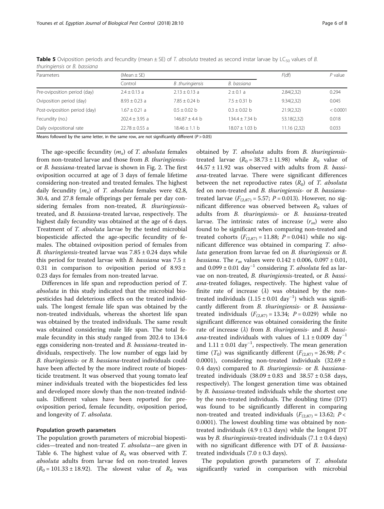| Parameters                    | $(Mean \pm SE)$    | F(df)             | $P$ value        |             |          |
|-------------------------------|--------------------|-------------------|------------------|-------------|----------|
|                               | Control            | B thuringiensis   | B. bassiana      |             |          |
| Pre-oviposition period (day)  | $2.4 + 0.13$ a     | $2.13 \pm 0.13$ a | $2 \pm 0.1 a$    | 2.84(2.32)  | 0.294    |
| Oviposition period (day)      | $8.93 + 0.23$ a    | $7.85 + 0.24$ b   | $7.5 + 0.31$ b   | 9.34(2.32)  | 0.045    |
| Post-oviposition period (day) | $1.67 + 0.21$ a    | $0.5 + 0.02$ b    | $0.3 + 0.02$ b   | 21.9(2,32)  | < 0.0001 |
| Fecundity (no.)               | $202.4 + 3.95$ a   | $146.87 + 4.4 h$  | 134.4 + 7.34 b   | 53.18(2,32) | 0.018    |
| Daily ovipositional rate      | $22.78 \pm 0.55$ a | $18.46 \pm 1.1$ b | $18.07 + 1.03$ b | 11.16(2,32) | 0.033    |

<span id="page-5-0"></span>**Table 5** Oviposition periods and fecundity (mean  $\pm$  SE) of T. absoluta treated as second instar larvae by LC<sub>50</sub> values of B. thuringiensis or B. bassiana

Means followed by the same letter, in the same row, are not significantly different ( $P > 0.05$ )

The age-specific fecundity  $(m<sub>x</sub>)$  of T. absoluta females from non-treated larvae and those from *B. thuringiensis*or B. bassiana-treated larvae is shown in Fig. [2](#page-3-0). The first oviposition occurred at age of 3 days of female lifetime considering non-treated and treated females. The highest daily fecundity  $(m_x)$  of T. absoluta females were 42.8, 30.4, and 27.8 female offsprings per female per day considering females from non-treated, B. thuringiensistreated, and B. bassiana-treated larvae, respectively. The highest daily fecundity was obtained at the age of 6 days. Treatment of T. absoluta larvae by the tested microbial biopesticide affected the age-specific fecundity of females. The obtained oviposition period of females from B. thuringiensis-treated larvae was  $7.85 \pm 0.24$  days while this period for treated larvae with *B. bassiana* was  $7.5 \pm$ 0.31 in comparison to oviposition period of  $8.93 \pm$ 0.23 days for females from non-treated larvae.

Differences in life span and reproduction period of T. absoluta in this study indicated that the microbial biopesticides had deleterious effects on the treated individuals. The longest female life span was obtained by the non-treated individuals, whereas the shortest life span was obtained by the treated individuals. The same result was obtained considering male life span. The total female fecundity in this study ranged from 202.4 to 134.4 eggs considering non-treated and B. bassiana-treated individuals, respectively. The low number of eggs laid by B. thuringiensis- or B. bassiana-treated individuals could have been affected by the more indirect route of biopesticide treatment. It was observed that young tomato leaf miner individuals treated with the biopesticides fed less and developed more slowly than the non-treated individuals. Different values have been reported for preoviposition period, female fecundity, oviposition period, and longevity of T. absoluta.

#### Population growth parameters

The population growth parameters of microbial biopesticides—treated and non-treated T. absoluta—are given in Table [6](#page-6-0). The highest value of  $R_0$  was observed with T. absoluta adults from larvae fed on non-treated leaves  $(R_0 = 101.33 \pm 18.92)$ . The slowest value of  $R_0$  was

obtained by T. absoluta adults from B. thuringiensistreated larvae  $(R_0 = 38.73 \pm 11.98)$  while  $R_0$  value of  $44.57 \pm 11.92$  was observed with adults from B. bassiana-treated larvae. There were significant differences between the net reproductive rates  $(R_0)$  of T. absoluta fed on non-treated and B. thuringiensis- or B. bassianatreated larvae ( $F_{(2,87)} = 5.57$ ;  $P = 0.013$ ). However, no significant difference was observed between  $R_0$  values of adults from B. thuringiensis- or B. bassiana-treated larvae. The intrinsic rates of increase  $(r_m)$  were also found to be significant when comparing non-treated and treated cohorts  $(F_{(2,87)} = 11.88; P = 0.041)$  while no significant difference was obtained in comparing T. absoluta generation from larvae fed on B. thuringiensis or B. *bassiana*. The  $r_m$  values were  $0.142 \pm 0.006$ ,  $0.097 \pm 0.01$ , and  $0.099 \pm 0.01$  day<sup>-1</sup> considering *T. absoluta* fed as larvae on non-treated, B. thuringiensis-treated, or B. bassiana-treated foliages, respectively. The highest value of finite rate of increase  $(\lambda)$  was obtained by the nontreated individuals  $(1.15 \pm 0.01 \text{ day}^{-1})$  which was significantly different from B. thuringiensis- or B. bassianatreated individuals  $(F_{(2,87)} = 13.34; P = 0.029)$  while no significant difference was obtained considering the finite rate of increase  $(\lambda)$  from *B. thuringiensis*- and *B. bassi*ana-treated individuals with values of  $1.1 \pm 0.009 \text{ day}^{-1}$ and  $1.11 \pm 0.01$  day<sup>-1</sup>, respectively. The mean generation time  $(T_0)$  was significantly different  $(F_{(2,87)} = 26.98; P <$ 0.0001), considering non-treated individuals  $(32.69 \pm$ 0.4 days) compared to B. thuringiensis- or B. bassianatreated individuals  $(38.09 \pm 0.83$  and  $38.57 \pm 0.58$  days, respectively). The longest generation time was obtained by *B. bassiana-treated individuals while the shortest one* by the non-treated individuals. The doubling time (DT) was found to be significantly different in comparing non-treated and treated individuals  $(F_{(2,87)} = 13.62; P <$ 0.0001). The lowest doubling time was obtained by nontreated individuals  $(4.9 \pm 0.3$  days) while the longest DT was by *B. thuringiensis*-treated individuals  $(7.1 \pm 0.4 \text{ days})$ with no significant difference with DT of B. bassianatreated individuals  $(7.0 \pm 0.3 \text{ days})$ .

The population growth parameters of T. absoluta significantly varied in comparison with microbial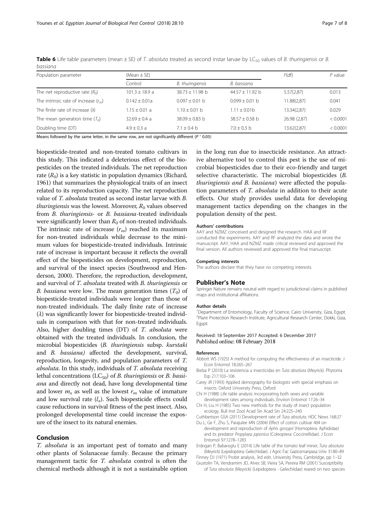| Population parameter                    | (Mean $\pm$ SE)  | F(df)             | $P$ value         |              |          |
|-----------------------------------------|------------------|-------------------|-------------------|--------------|----------|
|                                         | Control          | B. thuringiensis  | B. bassiana       |              |          |
| The net reproductive rate $(R0)$        | $101.3 + 18.9 a$ | $38.73 + 11.98$ b | $44.57 + 11.92$ b | 5.57(2,87)   | 0.013    |
| The intrinsic rate of increase $(r_m)$  | $0.142 + 0.01a$  | $0.097 + 0.01$ b  | $0.099 + 0.01$ b  | 11.88(2.87)  | 0.041    |
| The finite rate of increase $(\lambda)$ | $1.15 + 0.01$ a  | $1.10 + 0.01$ b   | $1.11 + 0.01b$    | 13.34(2,87)  | 0.029    |
| The mean generation time $(T_0)$        | $32.69 + 0.4a$   | $38.09 + 0.83$ b  | $38.57 + 0.58$ b  | 26.98 (2,87) | < 0.0001 |
| Doubling time (DT)                      | $4.9 \pm 0.3$ a  | $7.1 + 0.4 h$     | $7.0 + 0.3 h$     | 13.62(2,87)  | < 0.0001 |

<span id="page-6-0"></span>Table 6 Life table parameters (mean  $\pm$  SE) of T. absoluta treated as second instar larvae by LC<sub>50</sub> values of B. thuringiensis or B. bassiana

Means followed by the same letter, in the same row, are not significantly different ( $P > 0.05$ )

biopesticide-treated and non-treated tomato cultivars in this study. This indicated a deleterious effect of the biopesticides on the treated individuals. The net reproduction rate  $(R_0)$  is a key statistic in population dynamics (Richard, [1961\)](#page-7-0) that summarizes the physiological traits of an insect related to its reproduction capacity. The net reproduction value of T. absoluta treated as second instar larvae with B. *thuringiensis* was the lowest. Moreover,  $R_0$  values observed from B. thuringiensis- or B. bassiana-treated individuals were significantly lower than  $R_0$  of non-treated individuals. The intrinsic rate of increase  $(r_m)$  reached its maximum for non-treated individuals while decrease to the minimum values for biopesticide-treated individuals. Intrinsic rate of increase is important because it reflects the overall effect of the biopesticides on development, reproduction, and survival of the insect species (Southwood and Henderson, [2000\)](#page-7-0). Therefore, the reproduction, development, and survival of T. absoluta treated with B. thuringiensis or *B. bassiana* were low. The mean generation times  $(T_0)$  of biopesticide-treated individuals were longer than those of non-treated individuals. The daily finite rate of increase  $(\lambda)$  was significantly lower for biopesticide-treated individuals in comparison with that for non-treated individuals. Also, higher doubling times (DT) of T. absoluta were obtained with the treated individuals. In conclusion, the microbial biopesticides (B. thuringiensis subsp. kurstaki and B. bassiana) affected the development, survival, reproduction, longevity, and population parameters of T. absoluta. In this study, individuals of T. absoluta receiving lethal concentrations (LC $_{50}$ ) of *B. thuringiensis* or *B. bassi*ana and directly not dead, have long developmental time and lower  $m<sub>x</sub>$  as well as the lowest  $r<sub>m</sub>$  value of immature and low survival rate  $(l_x)$ . Such biopesticide effects could cause reductions in survival fitness of the pest insect. Also, prolonged developmental time could increase the exposure of the insect to its natural enemies.

#### Conclusion

T. absoluta is an important pest of tomato and many other plants of Solanaceae family. Because the primary management tactic for *T. absoluta* control is often the chemical methods although it is not a sustainable option

in the long run due to insecticide resistance. An attractive alternative tool to control this pest is the use of microbial biopesticides due to their eco-friendly and target selective characteristic. The microbial biopesticides (B. thuringiensis and B. bassiana) were affected the population parameters of T. absoluta in addition to their acute effects. Our study provides useful data for developing management tactics depending on the changes in the population density of the pest.

#### Authors' contributions

AAY and NZMZ conceived and designed the research. HAA and RF conducted the experiments. AAY and RF analyzed the data and wrote the manuscript. AAY, HAA and NZMZ made critical reviewed and approved the final version. All authors reviewed and approved the final manuscript.

#### Competing interests

The authors declare that they have no competing interests.

#### Publisher's Note

Springer Nature remains neutral with regard to jurisdictional claims in published maps and institutional affiliations.

#### Author details

<sup>1</sup>Department of Entomology, Faculty of Science, Cairo University, Giza, Egypt. 2 Plant Protection Research Institute, Agricultural Research Center, Dokki, Giza, Egypt.

#### Received: 18 September 2017 Accepted: 6 December 2017 Published online: 08 February 2018

#### References

- Abbott WS (1925) A method for computing the effectiveness of an insecticide. J Econ Entomol 18:265–267
- Bielza P (2010) La resistencia a insecticidas en Tuta absoluta (Meyrick). Phytoma Esp 217:103–106
- Carey JR (1993) Applied demography for biologists with special emphasis on insects. Oxford University Press, Oxford
- Chi H (1988) Life table analysis incorporating both sexes and variable development rates among individuals. Environ Entomol 17:26–34
- Chi H, Liu H (1985) Two new methods for the study of insect population ecology. Bull Inst Zool Acad Sin Acad Sin 24:225–240
- Cuthbertson GSA (2011) Development rate of Tuta absoluta. HDC News 168:27 Du L, Ge F, Zhu S, Parajulee MN (2004) Effect of cotton cultivar 404 on
- development and reproduction of Aphis gossypii (Homoptera: Aphididae) and its predator Propylaea japonica (Coleoptera: Coccinellidae). J Econ Entomol 97:1278–1283
- Erdogan P, Babaroglu E (2014) Life table of the tomato leaf miner, Tuta absoluta (Meyrick) (Lepidoptera: Gelechiidae). J Agric Fac Gaziosmanpasa Univ 31:80–89

Finney DJ (1971) Probit analysis, 3rd edn. University Press, Cambridge, pp 1–32 Giustolin TA, Vendramim JD, Alves SB, Vieira SA, Pereira RM (2001) Susceptibility

of Tuta absoluta (Meyrick) (Lepidoptera - Gelechiidae) reared on two species